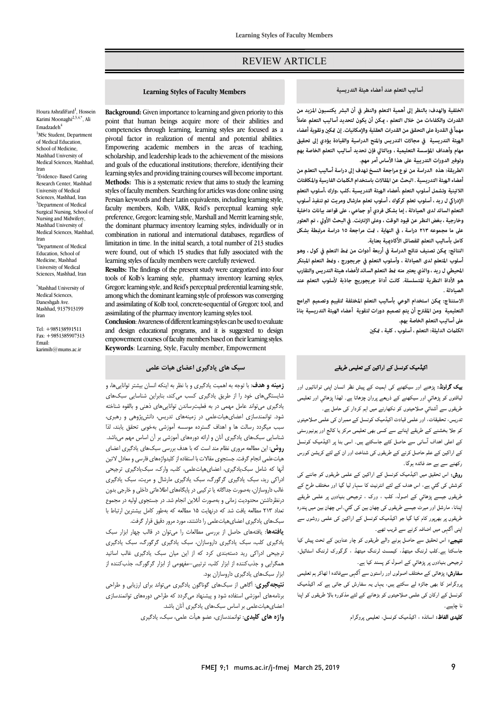## REVIEW ARTICLE

### **أساليب التعلم عند أعضاء هيئة التدريسية**

Ī 

 **الخلفية والهدف: بالنظر إلى أهمية التعلم والنظر في أن البشر يكتسبون المزيد من مهً في القدرة على التحقق من القدرات العقلية والإمكانيات. إن ك وتقوية أعضاء الهيئة التدريسية في مجالات التدريس و المنح الدراسية والقيادة يؤدي إلى تحقيق مهام وأهداف المؤسسة التعليمية ، وبالتالي فإن تحديد أساليب التعلم الخاصة بهم**  وتوفير الدورات التدريبية على هذا الأساس أمر مهم.<br>. **القدرات والكفاءات من خلال التعلم ، كن أن يكون لتحديد أساليب التعلم عاملاً** 

 **أعضاء الهيئة التدريسية . البحث عن المقالات باستخدام الكلت الفارسية والمكافئات اللاتينية وتشمل أسلوب التعلم ،أعضاء الهيئة التدريسية ،كلب ،وارك ،أسلوب التعلم الإدرا ل ريد ، أسلوب تعلم كركوك ، أسلوب تعلم مارشال ومريت تم تنفيذ أسلوب التعلم السائد لدى الصيادلة ، إما بشكل فردي أو جعي ، على قواعد بيانات داخلية**  وحارجيه ، بعض اسطر عن فيود الوقت ، وعلى الإنترنت. في البحث الاوي ، تم العنور<br>على ما مجموعه ٢١٣ دراسة ، في النهاية ، <del>مّت مراجعة ١٥ دراسة مرتبطة</del> بشكل **كامل بأساليب التعلم للفصائل الأكادية بعناية. الطريقة: هذه الدراسة من نوع مراجعة النسخ تهدف إلى دراسة أساليب التعلم من وخارجية ، بغض النظر عن قيود الوقت ، وعلى الإنترنت. في البحث الأولي ، تم العثور** 

 **النتائج: كن تصنيف نتائج الدراسة في أربعة أدوات من ط التعلم في كول ، وهو أسلوب المتعلم لدى الصيادلة ، وأسلوب التعلم في جريجورج ، وط التعلم المبتكر المحيطي ل ريد ، والذي يعتبر منه ط التعلم السائد لأعضاء هيئة التدريس والتقارب هو الأداة النظرية المتسلسلة. كانت أداة جريجوريج جاذبة لأسلوب التعلم عند الصيادلة .**

 **الاستنتاج: كن استخدام الوعي بأساليب التعلم المختلفة لتقييم وتصميم البرامج التعليمية ومن المقترح أن يتم تصميم دورات لتقوية أعضاء الهيئة التدريسية بناء على أساليب التعلم الخاصة بهم. ً**

**الكلت الدليلة: التعلم ، أسلوب ، كلية ، ك** 

# اکیڈمیک کونسل کے اراکین کے تعلیمی طریقے<br>۔

**یک گراونڈ:** پڑھنے اور سیکھنے کی اہمیت کے پیش نظر انسان اپنی توانائیوں اور لیاقتوں کو پڑھائی اور سیکھنے کے ذریعے پروان چڑھاتا ہے۔ لھذا پڑھائی اور تعلیمی طریقوں سے آشنائي صلاحیتوں کو نکھارنے میں اہم کردار کی حامل ہے۔

ندریس، تحقیقات، اور علمی قیادت اکیڈمیک کونسل کے ممبران کی علمی صلاحیتوں<br>۔ کو جلا بخشنے کے طریقے اپنانے سے کسی بھی تعلیمی مرکز یا کالج اور یونیورسٹی<br>۔ کے اعلی اہداف آسانی سے حاصل کئے جاسکتے ہیں۔ اسی بنا پر اکیڈمیک کونسل<br>مصدر کے اراکین کے علم حاصل کرنے کے طریقوں کی شناخت اور ان کے لئے کریشن کورس<br>ح رکھنے سے بے حد فائدہ ہوگا۔

ر پانے سے ہے۔<br>**روش:** اس تحقیق میں اکیڈمیک کونسل کے اراکین کے علمی طریقوں کو جاننے کی ، اس ف ا ر اور ح ۔<br>طریقوں جیسے پڑہائی<sub>ی</sub> کے اصولٰ، کلب ، ورک ، ترجیحی بنیادوں پر علمی طریقے اپنانا، مارشل اور میرٹ جیسے طریقوں کی چھان بین کی گئي۔اس چھان بین میں پندرہ طریقوں پر بھرپور کام کیا گیا جو اکیڈمیک کونسل کے اراکین کی علمی روشوں سے پنی آگہی میں اضافہ کرنے سے قریب تھے۔

**تیبجے:** اس تحقیق سے حاصل ہونے والے طریقوں کو چار عناوین کے تحت پیش کیا<br>۔ جسند ہے۔نب برست میںھد، نیمست برست میںھا۔<br>نرجیحی بنیادوں پر پڑھائی کے اصول کو پسند کیا ہے۔ جاسکتا ہے۔کلب لرننگ میتھڈ، کیمسٹ لرننگ میتھڈ ، گرگورک لرننگ اسٹائیل،

بربیسی پبیسری پر پر سمي ہے سوں سو پسند ہیے ہے۔<br>**سفارش:** پڑھائی کے مختلف اصولوں اور راستون سے آگہی سےفائدہ ا ٹھاکر ہم تعلیمی وا ہ ، ں رش ا ۔<br>کونسل کے ارکان کی علمی صلاحیتوں کو بڑھانے کے لئے مذکورہ بالا طریقوں کو اپنا نا چاہیے۔

**کلیدی الفاظ:** اساتذہ ، اکیڈمیک کونسل، تعلیمی پروگرام

## **Learning Styles of Faculty Members**

Ī 

 **Background:** Given importance to learning and given priority to this competencies through learning, learning styles are focused as a pivotal factor in realization of mental and potential abilities. empowering academic members in the areas of teaching,<br>scholarship, and leadership leads to the achievement of the missions and goals of the educational institutions; therefore, identifying their learning styles and providing training courses will become important. styles of faculty members. Searching for articles was done online using Persian keywords and their Latin equivalents, including learning style, preference, Gregorc learning style, Marshall and Merritt learning style, the dominant pharmacy inventory learning styles, individually or in combination in national and international databases, regardless of minimum in the matter in the minimum center, a commitment of  $\mathbb{L}_2$  studies were found, out of which 15 studies that fully associated with the learning styles of faculty members were carefully reviewed. point that human beings acquire more of their abilities and Empowering academic members in the areas of teaching, **Methods:** This is a systematic review that aims to study the learning faculty members, Kolb, VARK, Reid's perceptual learning style limitation in time. In the initial search, a total number of 213 studies

**RESULES:** The initially of the present study were categorized into four tools of Kolb's learning style, pharmacy inventory learning styles, Gregorc learning style, and Reid's perceptual preferential learning style, among which the dominant learning style of professors was converging and assimilating of the bost, centere experiments of experiments. **Results:** The findings of the present study were categorized into four and assimilating of Kolb tool, concrete-sequential of Gregorc tool, and

 **Conclusion**: Awareness of different learning styles can be used to evaluate empowerment courses of faculty members based on their learning styles. **Keywords**: Learning, Style, Faculty member, Empowerment and design educational programs, and it is suggested to design

## **سبک هاي یادگیري اعضاي هیات علمی**

 **زمینه و هدف**: با توجه به اهمیت یادگیري و با نظر به اینکه انسان بیشتر تواناییها، و شایستگیهاي خود را از طریق یادگیري کسب میکند، بنابراین شناسایی سبکهاي یادگیري میتواند عامل مهمی در به فعلیترساندن تواناییهاي ذهنی و بالقوه شناخته شود. توانمندسازي اعضايهیاتعلمی در زمینههاي تدریس، دانشپژوهی و رهبري، سبب سيسرت رسمت ساز است.<br>شناسایی سبک\های یادگیری آنان و ارائه دورههای آموزشی بر آن اساس مهم میباشد. **روش**: این مطالعه مروري نظام مند است که با هدف بررسی سبکهاي یادگیري اعضاي هیاتعلمی انجام گرفت. جستجوي مقالات با استفاده از کلیدواژههاي فارسی و معادل لاتین آنها که شامل سبکیادگیري، اعضايهیاتعلمی، کلب، وارك، سبکیادگیري ترجیحی ادراکی رید، سبک یادگیري گرگورگ، سبک یادگیري مارشال و مریت، سبک یادگیري غالب داروسازان، بهصورت جداگانه یا ترکیبی در پایگاههاي اطلاعاتی داخلی و خارجی بدون تعداد 213 مطالعه یافت شد که درنهایت 15 مطالعه که بهطور کامل بیشترین ارتباط با سبکهاي یادگیري اعضايهیاتعلمی را داشتند، مورد مرور دقیق قرار گرفت. سبب میگردد رسالت ها و اهداف گسترده موسسه آموزشی بهخوبی تحقق یابند، لذا درنظرداشتن محدودیت زمانی و بهصورت آنلاین انجام شد. در جستجوي اولیه در مجموع

 **یافتهها**: یافتههاي حاصل از بررسی مطالعات را میتوان در قالب چهار ابزار سبک یادگیري کلب، سبک یادگیري داروسازان، سبک یادگیري گرگورگ، سبک یادگیري ترجیحی ادراکی رید دستهبندي کرد که از این میان سبک یادگیري غالب اساتید همگرایی و جذبکننده از ابزار کلب، ترتیبی–مفهومی از ابزار گرگورگ، جذبکننده از ابزار سبکهاي یادگیري داروسازان بود.

 **نتیجهگیري**: آگاهی از سبکهاي گوناگون یادگیري میتواند براي ارزیابی و طراحی برنامههاي آموزشی استفاده شود و پیشنهاد میگردد که طراحی دورههاي توانمندسازي اعضايهیاتعلمی بر اساس سبکهاي یادگیري آنان باشد.

**واژه هاي کلیدي**: توانمندسازي، عضو هیأت علمی، سبک، یادگیري

Karimi Moonaghi2,3,4,\*, Ali Emadzadeh<sup>4</sup> <sup>1</sup>MSc Student, Department of Medical Education, School of Medicine, Mashhad University of Medical Sciences, Mashhad, Iran <sup>2</sup>Evidence- Based Caring Research Center, Mashhad University of Medical Sciences, Mashhad, Iran <sup>3</sup>Department of Medical Surgical Nursing, School of Nursing and Midwifery, Mashhad University of Medical Sciences, Mashhad, Iran <sup>4</sup>Department of Medical Education, School of Medicine, Mashhad University of Medical Sciences, Mashhad, Iran

Houra AshrafiFard<sup>1</sup>, Hossein

\* Mashhad University of Medical Sciences, Daneshgah Ave. Mashhad, 9137913199 Iran

Tel: +985138591511 Fax: +9851385907313 Email: karimih@mums.ac.in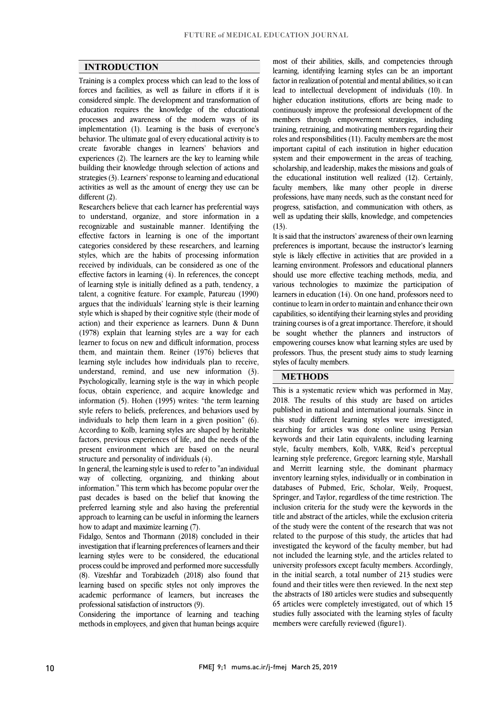#### **INTRODUCTION**

 Training is a complex process which can lead to the loss of forces and facilities, as well as failure in efforts if it is considered simple. The development and transformation of processes and awareness of the modern ways of its implementation (1). Learning is the basis of everyone's behavior. The ultimate goal of every educational activity is to create favorable changes in learners' behaviors and building their knowledge through selection of actions and strategies (3). Learners' response to learning and educational activities as well as the amount of energy they use can be education requires the knowledge of the educational experiences (2). The learners are the key to learning while different (2).

different (2).<br>Researchers believe that each learner has preferential ways to understand, organize, and store information in a recognizable and sustainable manner. Identifying the effective factors in learning is one of the important categories considered by these researchers, and learning<br>styles, which are the habits of processing information received by individuals, can be considered as one of the effective factors in learning (4). In references, the concept of learning style is initially defined as a path, tendency, a ratent, a cognitive reature. For example, ratureau (1990)<br>argues that the individuals' learning style is their learning style which is shaped by their cognitive style (their mode of action) and their experience as learners. Dunn & Dunn (1978) explain that learning styles are a way for each them, and maintain them. Reiner (1976) believes that learning style includes how individuals plan to receive, understand, remind, and use new information (3). Psychologically, learning style is the way in which people information (5). Hohen (1995) writes: "the term learning style refers to beliefs, preferences, and behaviors used by individuals to help them learn in a given position" (6). According to Kolb, learning styles are shaped by heritable present environment which are based on the neural categories considered by these researchers, and learning talent, a cognitive feature. For example, Patureau (1990) learner to focus on new and difficult information, process focus, obtain experience, and acquire knowledge and factors, previous experiences of life, and the needs of the structure and personality of individuals (4).

 In general, the learning style is used to refer to "an individual way of collecting, organizing, and thinking about past decades is based on the belief that knowing the preferred learning style and also having the preferential approach to learning can be useful in informing the learners information." This term which has become popular over the how to adapt and maximize learning (7).

now to adapt and maximize rearning (7).<br>Fidalgo, Sentos and Thormann (2018) concluded in their investigation that if learning preferences of learners and their learning styles were to be considered, the educational process could be improved and performed more successfully learning based on specific styles not only improves the academic performance of learners, but increases the (8). Vizeshfar and Torabizadeh (2018) also found that professional satisfaction of instructors (9).

 Considering the importance of learning and teaching methods in employees, and given that human beings acquire

 learning, identifying learning styles can be an important factor in realization of potential and mental abilities, so it can lead to intellectual development of individuals (10). In higher education institutions, efforts are being made to members through empowerment strategies, including training, retraining, and motivating members regarding their roles and responsibilities (11). Faculty members are the most important capital of each institution in higher education scholarship, and leadership, makes the missions and goals of the educational institution well realized (12). Certainly, faculty members, like many other people in diverse professions, have many needs, such as the constant need for well as updating their skills, knowledge, and competencies most of their abilities, skills, and competencies through continuously improve the professional development of the system and their empowerment in the areas of teaching, progress, satisfaction, and communication with others, as  $(13)$ .

 It is said that the instructors' awareness of their own learning preferences is important, because the instructor's learning<br>style is likely effective in activities that are provided in a learning environment. Professors and educational planners should use more effective teaching methods, media, and various technologies to maximize the participation of continue to learn in order to maintain and enhance their own capabilities, so identifying their learning styles and providing training courses is of a great importance. Therefore, it should be sought whether the planners and instructors of professors. Thus, the present study aims to study learning Ĭ preferences is important, because the instructor's learning learners in education (14). On one hand, professors need to empowering courses know what learning styles are used by styles of faculty members.

I

### **METHODS**

 This is a systematic review which was performed in May, 2018. The results of this study are based on articles published in national and international journals. Since in this study different learning styles were investigated, searching for articles was done online using Persian style, faculty members, Kolb, VARK, Reid's perceptual learning style preference, Gregorc learning style, Marshall and Merritt learning style, the dominant pharmacy databases of Pubmed, Eric, Scholar, Weily, Proquest, Springer, and Taylor, regardless of the time restriction. The inclusion criteria for the study were the keywords in the title and abstract of the articles, while the exclusion criteria related to the purpose of this study, the articles that had investigated the keyword of the faculty member, but had not included the learning style, and the articles related to university professors except faculty members. Accordingly, found and their titles were then reviewed. In the next step the abstracts of 180 articles were studies and subsequently 65 articles were completely investigated, out of which 15 studies fully associated with the learning styles of faculty keywords and their Latin equivalents, including learning inventory learning styles, individually or in combination in of the study were the content of the research that was not in the initial search, a total number of 213 studies were members were carefully reviewed (figure1).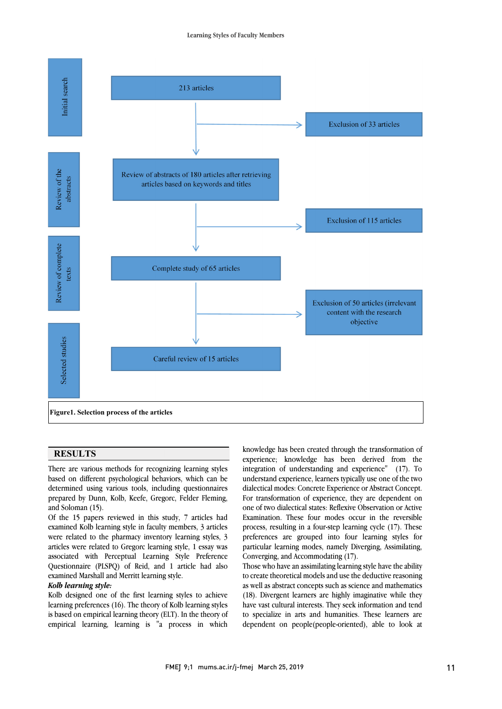

  $\overline{\phantom{0}}$ 

#### **RESULTS**

 There are various methods for recognizing learning styles based on different psychological behaviors, which can be prepared by Dunn, Kolb, Keefe, Gregorc, Felder Fleming, determined using various tools, including questionnaires and Soloman (15).

 Of the 15 papers reviewed in this study, 7 articles had examined Kolb learning style in faculty members, 3 articles articles were related to Gregorc learning style, 1 essay was associated with Perceptual Learning Style Preference Questionnaire (PLSPQ) of Reid, and 1 article had also were related to the pharmacy inventory learning styles, 3 examined Marshall and Merritt learning style.

#### *Kolb learning style:*

 Kolb designed one of the first learning styles to achieve learning preferences (16). The theory of Kolb learning styles is based on empirical learning theory (ELT). In the theory of empirical learning, learning is "a process in which  knowledge has been created through the transformation of experience; knowledge has been derived from the integration of understanding and experience" (17). To dialectical modes: Concrete Experience or Abstract Concept. For transformation of experience, they are dependent on one of two dialectical states: Reflexive Observation or Active Examination. These four modes occur in the reversible process, resulting in a four-step rearning eyer (17). These<br>preferences are grouped into four learning styles for particular learning modes, namely Diverging, Assimilating, understand experience, learners typically use one of the two process, resulting in a four-step learning cycle (17). These Converging, and Accommodating (17).

 Those who have an assimilating learning style have the ability as well as abstract concepts such as science and mathematics (18). Divergent learners are highly imaginative while they have vast cultural interests. They seek information and tend to specialize in arts and humanities. These learners are dependent on people(people-oriented), able to look at to create theoretical models and use the deductive reasoning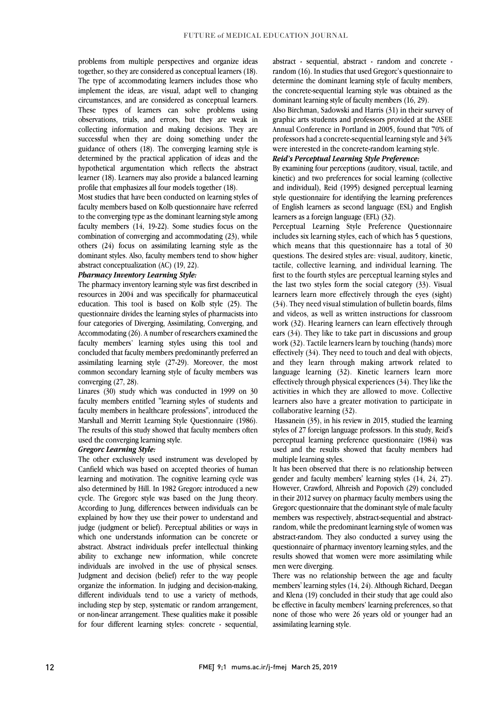together, so they are considered as conceptual learners (18). The type of accommodating learners includes those who implement the ideas, are visual, adapt well to changing circumstances, and are considered as conceptual learners. observations, trials, and errors, but they are weak in collecting information and making decisions. They are successful when they are doing something under the guidance of others (18). The converging learning style is hypothetical argumentation which reflects the abstract learner (18). Learners may also provide a balanced learning problems from multiple perspectives and organize ideas These types of learners can solve problems using determined by the practical application of ideas and the profile that emphasizes all four models together (18).

 Most studies that have been conducted on learning styles of to the converging type as the dominant learning style among faculty members (14, 19-22). Some studies focus on the combination of converging and accommodating (23), while others (24) focus on assimilating learning style as the  $\overline{\phantom{a}}$ faculty members based on Kolb questionnaire have referred dominant styles. Also, faculty members tend to show higher abstract conceptualization (AC) (19, 22).

#### *Pharmacy Inventory Learning Style:*

 The pharmacy inventory learning style was first described in resources in 2004 and was specifically for pharmaceutical questionnaire divides the learning styles of pharmacists into four categories of Diverging, Assimilating, Converging, and Accommodating (26). A number of researchers examined the concluded that faculty members predominantly preferred an assimilating learning style  $(27-29)$ . Moreover, the most common secondary learning style of faculty members was education. This tool is based on Kolb style (25). The faculty members' learning styles using this tool and converging (27, 28).

 faculty members entitled "learning styles of students and faculty members in healthcare professions", introduced the Marshall and Merritt Learning Style Questionnaire (1986). The results of this study showed that faculty members often Linares (30) study which was conducted in 1999 on 30 used the converging learning style.

#### *Gregorc Learning Style:*

 The other exclusively used instrument was developed by Canfield which was based on accepted theories of human learning and motivation. The cognitive learning cycle was cycle. The Gregorc style was based on the Jung theory. According to Jung, differences between individuals can be explained by how they use their power to understand and judge (judgment or belief). Perceptual abilities or ways in abstract. Abstract individuals prefer intellectual thinking ability to exchange new information, while concrete individuals are involved in the use of physical senses. Judgment and decision (belief) refer to the way people different individuals tend to use a variety of methods, including step by step, systematic or random arrangement, or non-linear arrangement. These qualities make it possible for four different learning styles: concrete - sequential, also determined by Hill. In 1982 Gregorc introduced a new which one understands information can be concrete or organize the information. In judging and decision-making,

 random (16). In studies that used Gregorc's questionnaire to determine the dominant learning style of faculty members, the concrete-sequential learning style was obtained as the abstract - sequential, abstract - random and concrete dominant learning style of faculty members (16, 29).

Also bitchman, sadowski and frams (51) in their survey of graphic arts students and professors provided at the ASEE Annual Conference in Portland in 2005, found that 70% of professors had a concrete-sequential learning style and 34% Also Birchman, Sadowski and Harris (31) in their survey of were interested in the concrete-random learning style.

## *Reid's Perceptual Learning Style Preference:*

Rem s *i* erception *Leurning style i* reference:<br>By examining four perceptions (auditory, visual, tactile, and kinetic) and two preferences for social learning (collective and individual), Reid (1995) designed perceptual learning style questionnaire for identifying the learning preferences of English learners as second language (ESL) and English<br>learners as a foreign language (EEL)  $(32)$ learners as a foreign language (EFL) (32).

 Perceptual Learning Style Preference Questionnaire includes six learning styles, each of which has 5 questions, which means that this questionnaire has a total of 30 tactile, collective learning, and individual learning. The first to the fourth styles are perceptual learning styles and the last two styles form the social category (33). Visual learners learn more effectively through the eyes (sight) and videos, as well as written instructions for classroom work (32). Hearing learners can learn effectively through ears (34). They like to take part in discussions and group work  $(32)$ . Tactue rearners rearn by touching (nanos) more effectively  $(34)$ . They need to touch and deal with objects, and they learn through making artwork related to language learning (32). Kinetic learners learn more effectively through physical experiences (34). They like the learners also have a greater motivation to participate in questions. The desired styles are: visual, auditory, kinetic, (34). They need visual stimulation of bulletin boards, films work (32). Tactile learners learn by touching (hands) more activities in which they are allowed to move. Collective collaborative learning (32).

 Hassanein (35), in his review in 2015, studied the learning styles of 27 foreign language professors. In this study, Reid's perceptual tearing preference questioninate (1901) was perceptual learning preference questionnaire (1984) was multiple learning styles.

 It has been observed that there is no relationship between gender and faculty members' learning styles  $(14, 24, 27)$ . in their 2012 survey on pharmacy faculty members using the Gregorc questionnaire that the dominant style of male faculty members was respectively, abstract-sequential and abstractrandom, while the predominant learning style of women was<br>abstract-random. They also conducted a survey using the questionnaire of pharmacy inventory learning styles, and the results showed that women were more assimilating while However, Crawford, Alhreish and Popovich (29) concluded random, while the predominant learning style of women was men were diverging.

members' learning styles (14, 24). Although Richard, Deegan and Klena (19) concluded in their study that age could also be effective in faculty members' learning preferences, so that none of those who were 26 years old or younger had an There was no relationship between the age and faculty assimilating learning style.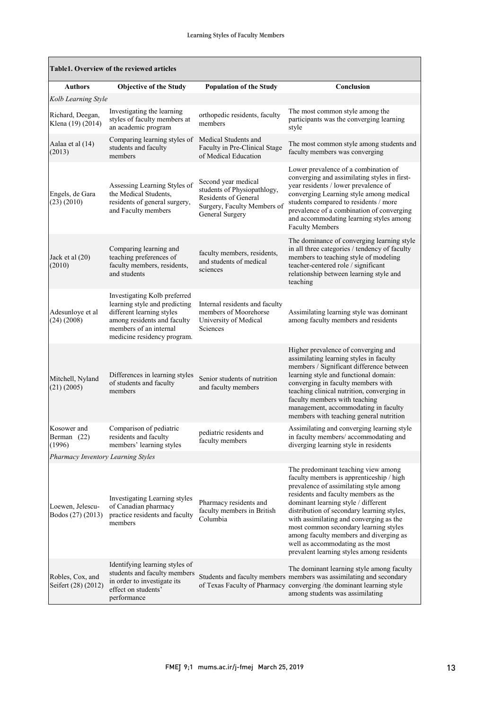$\mathbf{r}$ 

| Table1. Overview of the reviewed articles |                                                                                                                                                                                    |                                                                                                                              |                                                                                                                                                                                                                                                                                                                                                                                                                                                                        |  |  |  |
|-------------------------------------------|------------------------------------------------------------------------------------------------------------------------------------------------------------------------------------|------------------------------------------------------------------------------------------------------------------------------|------------------------------------------------------------------------------------------------------------------------------------------------------------------------------------------------------------------------------------------------------------------------------------------------------------------------------------------------------------------------------------------------------------------------------------------------------------------------|--|--|--|
| <b>Authors</b>                            | <b>Objective of the Study</b>                                                                                                                                                      | <b>Population of the Study</b>                                                                                               | Conclusion                                                                                                                                                                                                                                                                                                                                                                                                                                                             |  |  |  |
| Kolb Learning Style                       |                                                                                                                                                                                    |                                                                                                                              |                                                                                                                                                                                                                                                                                                                                                                                                                                                                        |  |  |  |
| Richard, Deegan,<br>Klena (19) (2014)     | Investigating the learning<br>styles of faculty members at<br>an academic program                                                                                                  | orthopedic residents, faculty<br>members                                                                                     | The most common style among the<br>participants was the converging learning<br>style                                                                                                                                                                                                                                                                                                                                                                                   |  |  |  |
| Aalaa et al (14)<br>(2013)                | Comparing learning styles of<br>students and faculty<br>members                                                                                                                    | Medical Students and<br>Faculty in Pre-Clinical Stage<br>of Medical Education                                                | The most common style among students and<br>faculty members was converging                                                                                                                                                                                                                                                                                                                                                                                             |  |  |  |
| Engels, de Gara<br>(23)(2010)             | Assessing Learning Styles of<br>the Medical Students,<br>residents of general surgery,<br>and Faculty members                                                                      | Second year medical<br>students of Physiopathlogy,<br>Residents of General<br>Surgery, Faculty Members of<br>General Surgery | Lower prevalence of a combination of<br>converging and assimilating styles in first-<br>year residents / lower prevalence of<br>converging Learning style among medical<br>students compared to residents / more<br>prevalence of a combination of converging<br>and accommodating learning styles among<br><b>Faculty Members</b>                                                                                                                                     |  |  |  |
| Jack et al $(20)$<br>(2010)               | Comparing learning and<br>teaching preferences of<br>faculty members, residents,<br>and students                                                                                   | faculty members, residents,<br>and students of medical<br>sciences                                                           | The dominance of converging learning style<br>in all three categories / tendency of faculty<br>members to teaching style of modeling<br>teacher-centered role / significant<br>relationship between learning style and<br>teaching                                                                                                                                                                                                                                     |  |  |  |
| Adesunloye et al<br>$(24)$ $(2008)$       | Investigating Kolb preferred<br>learning style and predicting<br>different learning styles<br>among residents and faculty<br>members of an internal<br>medicine residency program. | Internal residents and faculty<br>members of Moorehorse<br>University of Medical<br>Sciences                                 | Assimilating learning style was dominant<br>among faculty members and residents                                                                                                                                                                                                                                                                                                                                                                                        |  |  |  |
| Mitchell, Nyland<br>$(21)$ $(2005)$       | Differences in learning styles<br>of students and faculty<br>members                                                                                                               | Senior students of nutrition<br>and faculty members                                                                          | Higher prevalence of converging and<br>assimilating learning styles in faculty<br>members / Significant difference between<br>learning style and functional domain:<br>converging in faculty members with<br>teaching clinical nutrition, converging in<br>faculty members with teaching<br>management, accommodating in faculty<br>members with teaching general nutrition                                                                                            |  |  |  |
| Kosower and<br>Berman (22)<br>(1996)      | Comparison of pediatric<br>residents and faculty<br>members' learning styles                                                                                                       | pediatric residents and<br>faculty members                                                                                   | Assimilating and converging learning style<br>in faculty members/accommodating and<br>diverging learning style in residents                                                                                                                                                                                                                                                                                                                                            |  |  |  |
| Pharmacy Inventory Learning Styles        |                                                                                                                                                                                    |                                                                                                                              |                                                                                                                                                                                                                                                                                                                                                                                                                                                                        |  |  |  |
| Loewen, Jelescu-<br>Bodos (27) (2013)     | Investigating Learning styles<br>of Canadian pharmacy<br>practice residents and faculty<br>members                                                                                 | Pharmacy residents and<br>faculty members in British<br>Columbia                                                             | The predominant teaching view among<br>faculty members is apprenticeship / high<br>prevalence of assimilating style among<br>residents and faculty members as the<br>dominant learning style / different<br>distribution of secondary learning styles,<br>with assimilating and converging as the<br>most common secondary learning styles<br>among faculty members and diverging as<br>well as accommodating as the most<br>prevalent learning styles among residents |  |  |  |
| Robles, Cox, and<br>Seifert (28) (2012)   | Identifying learning styles of<br>students and faculty members<br>in order to investigate its<br>effect on students'<br>performance                                                |                                                                                                                              | The dominant learning style among faculty<br>Students and faculty members members was assimilating and secondary<br>of Texas Faculty of Pharmacy converging /the dominant learning style<br>among students was assimilating                                                                                                                                                                                                                                            |  |  |  |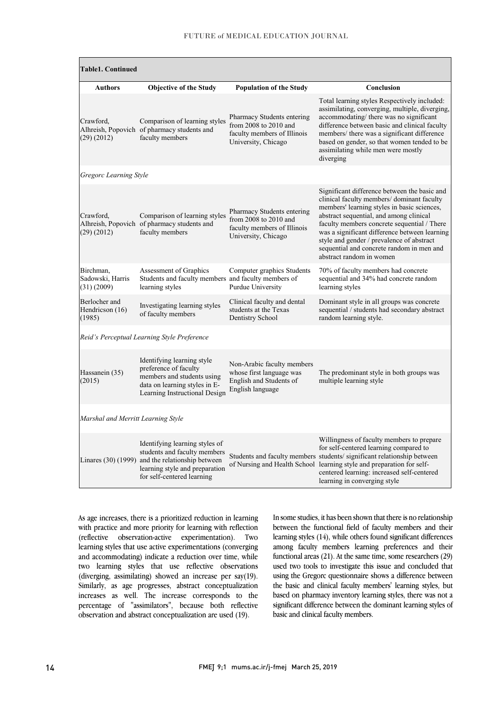| <b>Table1. Continued</b>                     |                                                                                                                                                                                    |                                                                                                               |                                                                                                                                                                                                                                                                                                                                                                                                           |  |  |  |
|----------------------------------------------|------------------------------------------------------------------------------------------------------------------------------------------------------------------------------------|---------------------------------------------------------------------------------------------------------------|-----------------------------------------------------------------------------------------------------------------------------------------------------------------------------------------------------------------------------------------------------------------------------------------------------------------------------------------------------------------------------------------------------------|--|--|--|
| Authors                                      | <b>Objective of the Study</b>                                                                                                                                                      | <b>Population of the Study</b>                                                                                | Conclusion                                                                                                                                                                                                                                                                                                                                                                                                |  |  |  |
| Crawford.<br>(29)(2012)                      | Comparison of learning styles<br>Alhreish, Popovich of pharmacy students and<br>faculty members                                                                                    | Pharmacy Students entering<br>from $2008$ to $2010$ and<br>faculty members of Illinois<br>University, Chicago | Total learning styles Respectively included:<br>assimilating, converging, multiple, diverging,<br>accommodating/ there was no significant<br>difference between basic and clinical faculty<br>members/ there was a significant difference<br>based on gender, so that women tended to be<br>assimilating while men were mostly<br>diverging                                                               |  |  |  |
| Gregorc Learning Style                       |                                                                                                                                                                                    |                                                                                                               |                                                                                                                                                                                                                                                                                                                                                                                                           |  |  |  |
| Crawford.<br>(29)(2012)                      | Comparison of learning styles<br>Alhreish, Popovich of pharmacy students and<br>faculty members                                                                                    | Pharmacy Students entering<br>from $2008$ to $2010$ and<br>faculty members of Illinois<br>University, Chicago | Significant difference between the basic and<br>clinical faculty members/dominant faculty<br>members' learning styles in basic sciences,<br>abstract sequential, and among clinical<br>faculty members concrete sequential / There<br>was a significant difference between learning<br>style and gender / prevalence of abstract<br>sequential and concrete random in men and<br>abstract random in women |  |  |  |
| Birchman,<br>Sadowski, Harris<br>(31) (2009) | Assessment of Graphics<br>Students and faculty members and faculty members of<br>learning styles                                                                                   | Computer graphics Students<br>Purdue University                                                               | 70% of faculty members had concrete<br>sequential and 34% had concrete random<br>learning styles                                                                                                                                                                                                                                                                                                          |  |  |  |
| Berlocher and<br>Hendricson (16)<br>(1985)   | Investigating learning styles<br>of faculty members                                                                                                                                | Clinical faculty and dental<br>students at the Texas<br>Dentistry School                                      | Dominant style in all groups was concrete<br>sequential / students had secondary abstract<br>random learning style.                                                                                                                                                                                                                                                                                       |  |  |  |
| Reid's Perceptual Learning Style Preference  |                                                                                                                                                                                    |                                                                                                               |                                                                                                                                                                                                                                                                                                                                                                                                           |  |  |  |
| Hassanein (35)<br>(2015)                     | Identifying learning style<br>preference of faculty<br>members and students using<br>data on learning styles in E-<br>Learning Instructional Design                                | Non-Arabic faculty members<br>whose first language was<br>English and Students of<br>English language         | The predominant style in both groups was<br>multiple learning style                                                                                                                                                                                                                                                                                                                                       |  |  |  |
| Marshal and Merritt Learning Style           |                                                                                                                                                                                    |                                                                                                               |                                                                                                                                                                                                                                                                                                                                                                                                           |  |  |  |
|                                              | Identifying learning styles of<br>students and faculty members<br>Linares (30) (1999) and the relationship between<br>learning style and preparation<br>for self-centered learning |                                                                                                               | Willingness of faculty members to prepare<br>for self-centered learning compared to<br>Students and faculty members students/significant relationship between<br>of Nursing and Health School learning style and preparation for self-<br>centered learning: increased self-centered<br>learning in converging style                                                                                      |  |  |  |

As age increases, there is a prioritized reduction in learning with practice and more priority for learning with reflection (reflective observation-active experimentation). Two learning styles that use active experimentations (converging and accommodating) indicate a reduction over time, while two learning styles that use reflective observations (diverging, assimilating) showed an increase per say(19). Similarly, as age progresses, abstract conceptualization increases as well. The increase corresponds to the percentage of "assimilators", because both reflective observation and abstract conceptualization are used (19).

In some studies, it has been shown that there is no relationship between the functional field of faculty members and their learning styles (14), while others found significant differences among faculty members learning preferences and their functional areas (21). At the same time, some researchers (29) used two tools to investigate this issue and concluded that using the Gregorc questionnaire shows a difference between the basic and clinical faculty members' learning styles, but based on pharmacy inventory learning styles, there was not a significant difference between the dominant learning styles of basic and clinical faculty members.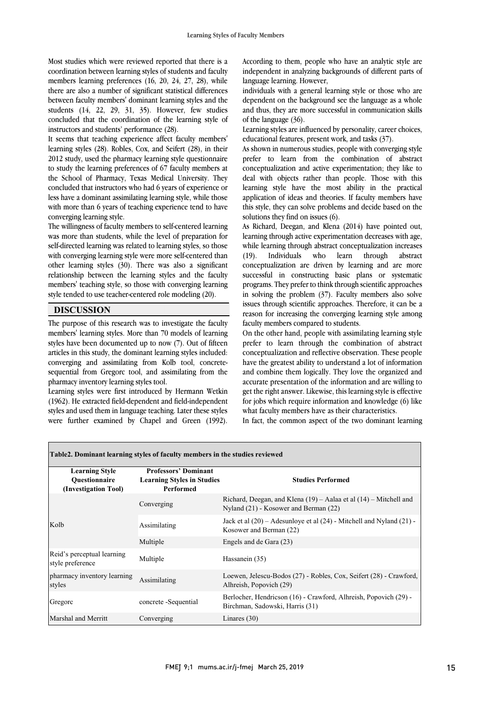Most studies which were reviewed reported that there is a coordination between learning styles of students and faculty members learning preferences (16, 20, 24, 27, 28), while there are also a number of significant statistical differences between faculty members' dominant learning styles and the students (14, 22, 29, 31, 35). However, few studies concluded that the coordination of the learning style of instructors and students' performance (28).

It seems that teaching experience affect faculty members' learning styles (28). Robles, Cox, and Seifert (28), in their 2012 study, used the pharmacy learning style questionnaire to study the learning preferences of 67 faculty members at the School of Pharmacy, Texas Medical University. They concluded that instructors who had 6 years of experience or less have a dominant assimilating learning style, while those with more than 6 years of teaching experience tend to have converging learning style.

The willingness of faculty members to self-centered learning was more than students, while the level of preparation for self-directed learning was related to learning styles, so those with converging learning style were more self-centered than other learning styles (30). There was also a significant relationship between the learning styles and the faculty members' teaching style, so those with converging learning style tended to use teacher-centered role modeling (20).

## **DISCUSSION**

The purpose of this research was to investigate the faculty members' learning styles. More than 70 models of learning styles have been documented up to now (7). Out of fifteen articles in this study, the dominant learning styles included: converging and assimilating from Kolb tool, concretesequential from Gregorc tool, and assimilating from the pharmacy inventory learning styles tool.

Learning styles were first introduced by Hermann Wetkin (1962). He extracted field-dependent and field-independent styles and used them in language teaching. Later these styles were further examined by Chapel and Green (1992).

According to them, people who have an analytic style are independent in analyzing backgrounds of different parts of language learning. However,

individuals with a general learning style or those who are dependent on the background see the language as a whole and thus, they are more successful in communication skills of the language (36).

Learning styles are influenced by personality, career choices, educational features, present work, and tasks (37).

As shown in numerous studies, people with converging style prefer to learn from the combination of abstract conceptualization and active experimentation; they like to deal with objects rather than people. Those with this learning style have the most ability in the practical application of ideas and theories. If faculty members have this style, they can solve problems and decide based on the solutions they find on issues (6).

As Richard, Deegan, and Klena (2014) have pointed out, learning through active experimentation decreases with age, while learning through abstract conceptualization increases (19). Individuals who learn through abstract conceptualization are driven by learning and are more successful in constructing basic plans or systematic programs. They prefer to think through scientific approaches in solving the problem (37). Faculty members also solve issues through scientific approaches. Therefore, it can be a reason for increasing the converging learning style among faculty members compared to students.

On the other hand, people with assimilating learning style prefer to learn through the combination of abstract conceptualization and reflective observation. These people have the greatest ability to understand a lot of information and combine them logically. They love the organized and accurate presentation of the information and are willing to get the right answer. Likewise, this learning style is effective for jobs which require information and knowledge (6) like what faculty members have as their characteristics.

In fact, the common aspect of the two dominant learning

| Table 2. Dominant learning styles of faculty members in the studies reviewed |                                                                                      |                                                                                                                |  |  |  |
|------------------------------------------------------------------------------|--------------------------------------------------------------------------------------|----------------------------------------------------------------------------------------------------------------|--|--|--|
| <b>Learning Style</b><br><b>Ouestionnaire</b><br>(Investigation Tool)        | <b>Professors' Dominant</b><br><b>Learning Styles in Studies</b><br><b>Performed</b> | <b>Studies Performed</b>                                                                                       |  |  |  |
|                                                                              | Converging                                                                           | Richard, Deegan, and Klena $(19)$ – Aalaa et al $(14)$ – Mitchell and<br>Nyland (21) - Kosower and Berman (22) |  |  |  |
| Kolb                                                                         | Assimilating                                                                         | Jack et al $(20)$ – Adesunloye et al $(24)$ - Mitchell and Nyland $(21)$ -<br>Kosower and Berman (22)          |  |  |  |
|                                                                              | Multiple                                                                             | Engels and de Gara (23)                                                                                        |  |  |  |
| Reid's perceptual learning<br>style preference                               | Multiple                                                                             | Hassanein (35)                                                                                                 |  |  |  |
| pharmacy inventory learning<br>styles                                        | Assimilating                                                                         | Loewen, Jelescu-Bodos (27) - Robles, Cox, Seifert (28) - Crawford,<br>Alhreish, Popovich (29)                  |  |  |  |
| Gregorc                                                                      | concrete -Sequential                                                                 | Berlocher, Hendricson (16) - Crawford, Alhreish, Popovich (29) -<br>Birchman, Sadowski, Harris (31)            |  |  |  |
| Marshal and Merritt                                                          | Converging                                                                           | Linares $(30)$                                                                                                 |  |  |  |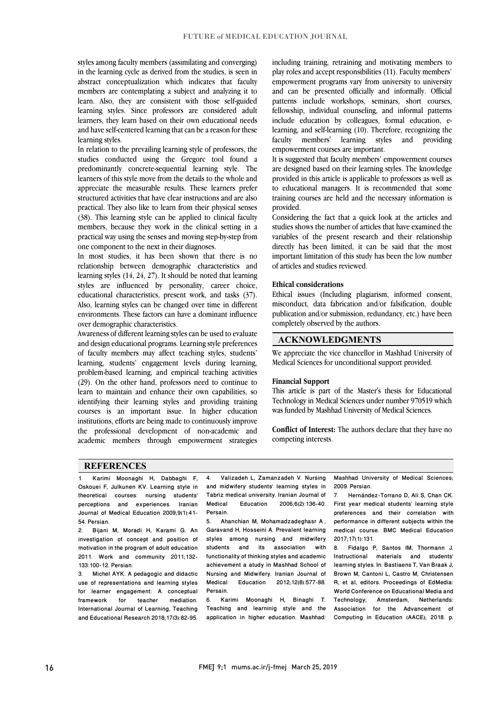styles among faculty members (assimilating and converging) in the learning cycle as derived from the studies, is seen in abstract conceptualization which indicates that faculty members are contemplating a subject and analyzing it to learn. Also, they are consistent with those self-guided learning styles. Since professors are considered adult learners, they learn based on their own educational needs and have self-centered learning that can be a reason for these learning styles.

In relation to the prevailing learning style of professors, the studies conducted using the Gregorc tool found a predominantly concrete-sequential learning style. The learners of this style move from the details to the whole and appreciate the measurable results. These learners prefer structured activities that have clear instructions and are also practical. They also like to learn from their physical senses (38). This learning style can be applied to clinical faculty members, because they work in the clinical setting in a practical way using the senses and moving step-by-step from one component to the next in their diagnoses.

In most studies, it has been shown that there is no relationship between demographic characteristics and learning styles (14, 24, 27). It should be noted that learning styles are influenced by personality, career choice, educational characteristics, present work, and tasks (37). Also, learning styles can be changed over time in different environments. These factors can have a dominant influence over demographic characteristics.

Awareness of different learning styles can be used to evaluate and design educational programs. Learning style preferences of faculty members may affect teaching styles, students' learning, students' engagement levels during learning, problem-based learning, and empirical teaching activities (29). On the other hand, professors need to continue to learn to maintain and enhance their own capabilities, so identifying their learning styles and providing training courses is an important issue. In higher education institutions, efforts are being made to continuously improve the professional development of non-academic and academic members through empowerment strategies including training, retraining and motivating members to play roles and accept responsibilities (11). Faculty members' empowerment programs vary from university to university and can be presented officially and informally. Official patterns include workshops, seminars, short courses, fellowship, individual counseling, and informal patterns include education by colleagues, formal education, elearning, and self-learning (10). Therefore, recognizing the faculty members' learning styles and providing empowerment courses are important.

It is suggested that faculty members' empowerment courses are designed based on their learning styles. The knowledge provided in this article is applicable to professors as well as to educational managers. It is recommended that some training courses are held and the necessary information is provided.

Considering the fact that a quick look at the articles and studies shows the number of articles that have examined the variables of the present research and their relationship directly has been limited, it can be said that the most important limitation of this study has been the low number of articles and studies reviewed.

#### **Ethical considerations**

Ethical issues (Including plagiarism, informed consent, misconduct, data fabrication and/or falsification, double publication and/or submission, redundancy, etc.) have been completely observed by the authors.

#### **ACKNOWLEDGMENTS**

We appreciate the vice chancellor in Mashhad University of Medical Sciences for unconditional support provided.

#### **Financial Support**

This article is part of the Master's thesis for Educational Technology in Medical Sciences under number 970519 which was funded by Mashhad University of Medical Sciences.

**Conflict of Interest:** The authors declare that they have no competing interests.

#### **REFERENCES**

1. Karimi Moonaghi H, Dabbaghi F, Oskouei F, Julkunen KV. Learning style in theoretical courses: nursing students' perceptions and experiences. Iranian Journal of Medical Education 2009;9(1):41- 54. Persian.

2. Bijani M, Moradi H, Karami G. An investigation of concept and position of motivation in the program of adult education 2011. Work and community 2011;132- 133:100-12. Persian.

Michel AYK. A pedagogic and didactic use of representations and learning styles for learner engagement: A conceptual framework for teacher mediation. International Journal of Learning, Teaching and Educational Research 2018;17(3):82-95. 4. Valizadeh L, Zamanzadeh V. Nursing and midwifery students' learning styles in Tabriz medical university. Iranian Journal of<br>Medical Education 2006:6(2):136-40. 2006:6(2):136-40. Persain.

5. Ahanchian M, Mohamadzadeghasr A , Garavand H, Hosseini A. Prevalent learning styles among nursing and midwifery students and its association with functionality of thinking styles and academic achievement a atudy in Mashhad School of Nursing and Midwifery. Iranian Journal of Medical Education 2012;12(8):577-88. Persain.

6. Karimi Moonaghi H, Binaghi T. Teaching and learninig style and the application in higher education. Mashhad:

Mashhad University of Medical Sciences; 2009. Persian.

7. Hernández-Torrano D, Ali S, Chan CK. First year medical students' learning style preferences and their correlation with performance in different subjects within the medical course. BMC Medical Education 2017;17(1):131.

8. Fidalgo P, Santos IM, Thormann J. Instructional materials and students' learning styles. In: Bastiaens T, Van Braak J, Brown M, Cantoni L, Castro M, Christensen R, et al, editors. Proceedings of EdMedia: World Conference on Educational Media and Technology; Amsterdam, Netherlands: Association for the Advancement of Computing in Education (AACE); 2018. p.